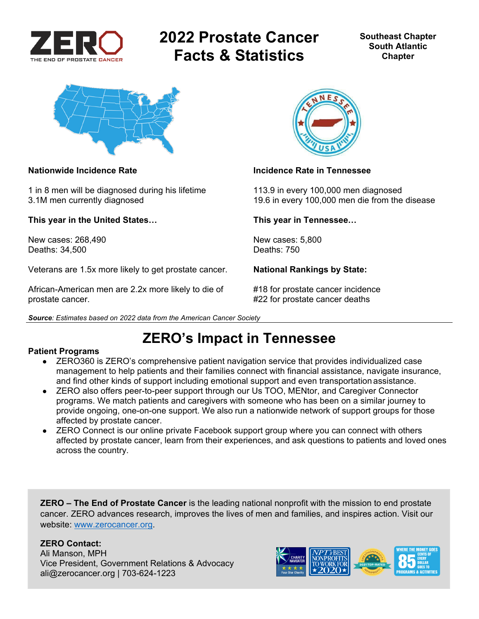

# **2022 Prostate Cancer Facts & Statistics**

**Southeast Chapter South Atlantic Chapter** 



1 in 8 men will be diagnosed during his lifetime 113.9 in every 100,000 men diagnosed

**This year in the United States… This year in Tennessee…** 

New cases: 268,490 New cases: 5,800<br>Deaths: 34.500 Deaths: 750 Deaths: 34,500

Veterans are 1.5x more likely to get prostate cancer. **National Rankings by State:** 

African-American men are 2.2x more likely to die of #18 for prostate cancer incidence prostate cancer. #22 for prostate cancer deaths





### **Nationwide Incidence Rate Incidence Rate in Tennessee**

3.1M men currently diagnosed 19.6 in every 100,000 men die from the disease

## **ZERO's Impact in Tennessee**

### **Patient Programs**

- ZERO360 is ZERO's comprehensive patient navigation service that provides individualized case management to help patients and their families connect with financial assistance, navigate insurance, and find other kinds of support including emotional support and even transportation assistance.
- ZERO also offers peer-to-peer support through our Us TOO, MENtor, and Caregiver Connector programs. We match patients and caregivers with someone who has been on a similar journey to provide ongoing, one-on-one support. We also run a nationwide network of support groups for those affected by prostate cancer.
- ZERO Connect is our online private Facebook support group where you can connect with others affected by prostate cancer, learn from their experiences, and ask questions to patients and loved ones across the country.

**ZERO – The End of Prostate Cancer** is the leading national nonprofit with the mission to end prostate cancer. ZERO advances research, improves the lives of men and families, and inspires action. Visit our website: www.zerocancer.org.

### **ZERO Contact:**

Ali Manson, MPH Vice President, Government Relations & Advocacy ali@zerocancer.org | 703-624-1223